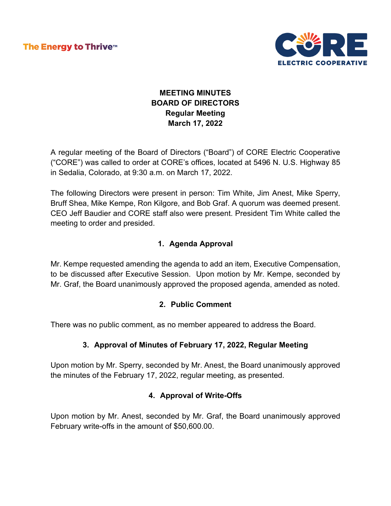The Energy to Thrive™



# **MEETING MINUTES BOARD OF DIRECTORS Regular Meeting March 17, 2022**

A regular meeting of the Board of Directors ("Board") of CORE Electric Cooperative ("CORE") was called to order at CORE's offices, located at 5496 N. U.S. Highway 85 in Sedalia, Colorado, at 9:30 a.m. on March 17, 2022.

The following Directors were present in person: Tim White, Jim Anest, Mike Sperry, Bruff Shea, Mike Kempe, Ron Kilgore, and Bob Graf. A quorum was deemed present. CEO Jeff Baudier and CORE staff also were present. President Tim White called the meeting to order and presided.

## **1. Agenda Approval**

Mr. Kempe requested amending the agenda to add an item, Executive Compensation, to be discussed after Executive Session. Upon motion by Mr. Kempe, seconded by Mr. Graf, the Board unanimously approved the proposed agenda, amended as noted.

## **2. Public Comment**

There was no public comment, as no member appeared to address the Board.

## **3. Approval of Minutes of February 17, 2022, Regular Meeting**

Upon motion by Mr. Sperry, seconded by Mr. Anest, the Board unanimously approved the minutes of the February 17, 2022, regular meeting, as presented.

# **4. Approval of Write-Offs**

Upon motion by Mr. Anest, seconded by Mr. Graf, the Board unanimously approved February write-offs in the amount of \$50,600.00.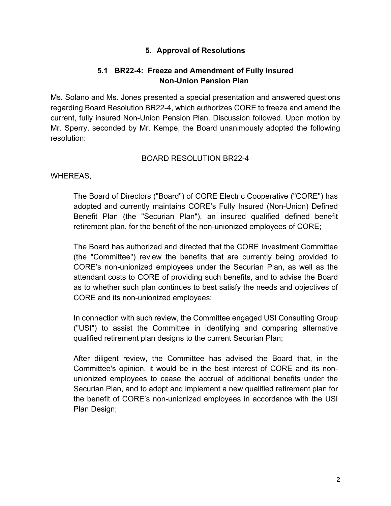## **5. Approval of Resolutions**

## **5.1 BR22-4: Freeze and Amendment of Fully Insured Non-Union Pension Plan**

Ms. Solano and Ms. Jones presented a special presentation and answered questions regarding Board Resolution BR22-4, which authorizes CORE to freeze and amend the current, fully insured Non-Union Pension Plan. Discussion followed. Upon motion by Mr. Sperry, seconded by Mr. Kempe, the Board unanimously adopted the following resolution:

#### BOARD RESOLUTION BR22-4

WHEREAS,

The Board of Directors ("Board") of CORE Electric Cooperative ("CORE") has adopted and currently maintains CORE's Fully Insured (Non-Union) Defined Benefit Plan (the "Securian Plan"), an insured qualified defined benefit retirement plan, for the benefit of the non-unionized employees of CORE;

The Board has authorized and directed that the CORE Investment Committee (the "Committee") review the benefits that are currently being provided to CORE's non-unionized employees under the Securian Plan, as well as the attendant costs to CORE of providing such benefits, and to advise the Board as to whether such plan continues to best satisfy the needs and objectives of CORE and its non-unionized employees;

In connection with such review, the Committee engaged USI Consulting Group ("USI") to assist the Committee in identifying and comparing alternative qualified retirement plan designs to the current Securian Plan;

After diligent review, the Committee has advised the Board that, in the Committee's opinion, it would be in the best interest of CORE and its nonunionized employees to cease the accrual of additional benefits under the Securian Plan, and to adopt and implement a new qualified retirement plan for the benefit of CORE's non-unionized employees in accordance with the USI Plan Design;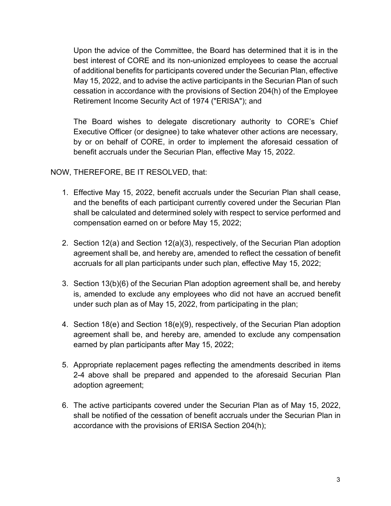Upon the advice of the Committee, the Board has determined that it is in the best interest of CORE and its non-unionized employees to cease the accrual of additional benefits for participants covered under the Securian Plan, effective May 15, 2022, and to advise the active participants in the Securian Plan of such cessation in accordance with the provisions of Section 204(h) of the Employee Retirement Income Security Act of 1974 ("ERISA"); and

The Board wishes to delegate discretionary authority to CORE's Chief Executive Officer (or designee) to take whatever other actions are necessary, by or on behalf of CORE, in order to implement the aforesaid cessation of benefit accruals under the Securian Plan, effective May 15, 2022.

#### NOW, THEREFORE, BE IT RESOLVED, that:

- 1. Effective May 15, 2022, benefit accruals under the Securian Plan shall cease, and the benefits of each participant currently covered under the Securian Plan shall be calculated and determined solely with respect to service performed and compensation earned on or before May 15, 2022;
- 2. Section 12(a) and Section 12(a)(3), respectively, of the Securian Plan adoption agreement shall be, and hereby are, amended to reflect the cessation of benefit accruals for all plan participants under such plan, effective May 15, 2022;
- 3. Section 13(b)(6) of the Securian Plan adoption agreement shall be, and hereby is, amended to exclude any employees who did not have an accrued benefit under such plan as of May 15, 2022, from participating in the plan;
- 4. Section 18(e) and Section 18(e)(9), respectively, of the Securian Plan adoption agreement shall be, and hereby are, amended to exclude any compensation earned by plan participants after May 15, 2022;
- 5. Appropriate replacement pages reflecting the amendments described in items 2-4 above shall be prepared and appended to the aforesaid Securian Plan adoption agreement;
- 6. The active participants covered under the Securian Plan as of May 15, 2022, shall be notified of the cessation of benefit accruals under the Securian Plan in accordance with the provisions of ERISA Section 204(h);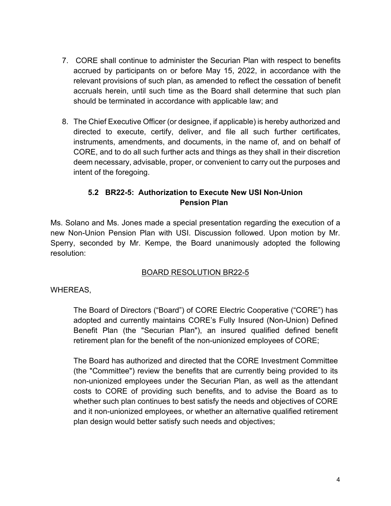- 7. CORE shall continue to administer the Securian Plan with respect to benefits accrued by participants on or before May 15, 2022, in accordance with the relevant provisions of such plan, as amended to reflect the cessation of benefit accruals herein, until such time as the Board shall determine that such plan should be terminated in accordance with applicable law; and
- 8. The Chief Executive Officer (or designee, if applicable) is hereby authorized and directed to execute, certify, deliver, and file all such further certificates, instruments, amendments, and documents, in the name of, and on behalf of CORE, and to do all such further acts and things as they shall in their discretion deem necessary, advisable, proper, or convenient to carry out the purposes and intent of the foregoing.

# **5.2 BR22-5: Authorization to Execute New USI Non-Union Pension Plan**

Ms. Solano and Ms. Jones made a special presentation regarding the execution of a new Non-Union Pension Plan with USI. Discussion followed. Upon motion by Mr. Sperry, seconded by Mr. Kempe, the Board unanimously adopted the following resolution:

# BOARD RESOLUTION BR22-5

WHEREAS,

The Board of Directors ("Board") of CORE Electric Cooperative ("CORE") has adopted and currently maintains CORE's Fully Insured (Non-Union) Defined Benefit Plan (the "Securian Plan"), an insured qualified defined benefit retirement plan for the benefit of the non-unionized employees of CORE;

The Board has authorized and directed that the CORE Investment Committee (the "Committee") review the benefits that are currently being provided to its non-unionized employees under the Securian Plan, as well as the attendant costs to CORE of providing such benefits, and to advise the Board as to whether such plan continues to best satisfy the needs and objectives of CORE and it non-unionized employees, or whether an alternative qualified retirement plan design would better satisfy such needs and objectives;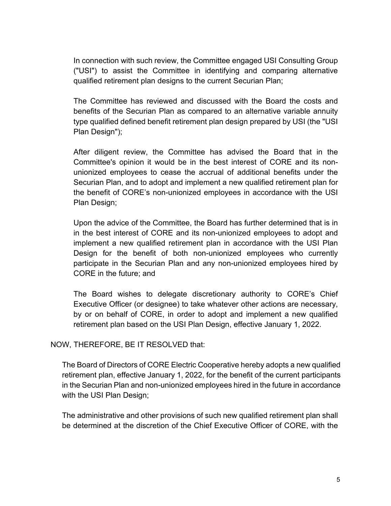In connection with such review, the Committee engaged USI Consulting Group ("USI") to assist the Committee in identifying and comparing alternative qualified retirement plan designs to the current Securian Plan;

The Committee has reviewed and discussed with the Board the costs and benefits of the Securian Plan as compared to an alternative variable annuity type qualified defined benefit retirement plan design prepared by USI (the "USI Plan Design");

After diligent review, the Committee has advised the Board that in the Committee's opinion it would be in the best interest of CORE and its nonunionized employees to cease the accrual of additional benefits under the Securian Plan, and to adopt and implement a new qualified retirement plan for the benefit of CORE's non-unionized employees in accordance with the USI Plan Design;

Upon the advice of the Committee, the Board has further determined that is in in the best interest of CORE and its non-unionized employees to adopt and implement a new qualified retirement plan in accordance with the USI Plan Design for the benefit of both non-unionized employees who currently participate in the Securian Plan and any non-unionized employees hired by CORE in the future; and

The Board wishes to delegate discretionary authority to CORE's Chief Executive Officer (or designee) to take whatever other actions are necessary, by or on behalf of CORE, in order to adopt and implement a new qualified retirement plan based on the USI Plan Design, effective January 1, 2022.

#### NOW, THEREFORE, BE IT RESOLVED that:

The Board of Directors of CORE Electric Cooperative hereby adopts a new qualified retirement plan, effective January 1, 2022, for the benefit of the current participants in the Securian Plan and non-unionized employees hired in the future in accordance with the USI Plan Design;

The administrative and other provisions of such new qualified retirement plan shall be determined at the discretion of the Chief Executive Officer of CORE, with the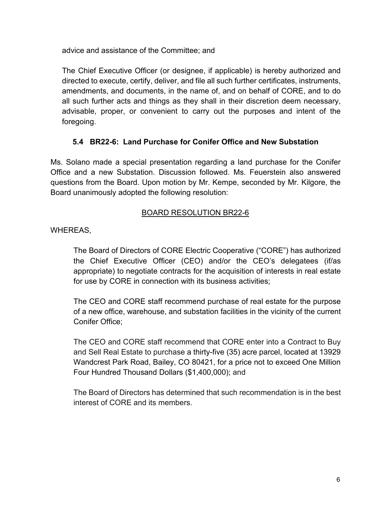advice and assistance of the Committee; and

The Chief Executive Officer (or designee, if applicable) is hereby authorized and directed to execute, certify, deliver, and file all such further certificates, instruments, amendments, and documents, in the name of, and on behalf of CORE, and to do all such further acts and things as they shall in their discretion deem necessary, advisable, proper, or convenient to carry out the purposes and intent of the foregoing.

# **5.4 BR22-6: Land Purchase for Conifer Office and New Substation**

Ms. Solano made a special presentation regarding a land purchase for the Conifer Office and a new Substation. Discussion followed. Ms. Feuerstein also answered questions from the Board. Upon motion by Mr. Kempe, seconded by Mr. Kilgore, the Board unanimously adopted the following resolution:

## BOARD RESOLUTION BR22-6

WHEREAS,

The Board of Directors of CORE Electric Cooperative ("CORE") has authorized the Chief Executive Officer (CEO) and/or the CEO's delegatees (if/as appropriate) to negotiate contracts for the acquisition of interests in real estate for use by CORE in connection with its business activities;

The CEO and CORE staff recommend purchase of real estate for the purpose of a new office, warehouse, and substation facilities in the vicinity of the current Conifer Office;

The CEO and CORE staff recommend that CORE enter into a Contract to Buy and Sell Real Estate to purchase a thirty-five (35) acre parcel, located at 13929 Wandcrest Park Road, Bailey, CO 80421, for a price not to exceed One Million Four Hundred Thousand Dollars (\$1,400,000); and

The Board of Directors has determined that such recommendation is in the best interest of CORE and its members.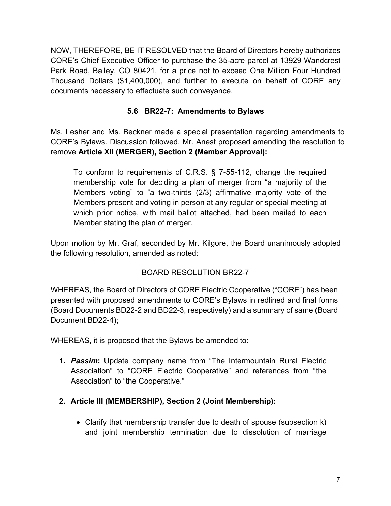NOW, THEREFORE, BE IT RESOLVED that the Board of Directors hereby authorizes CORE's Chief Executive Officer to purchase the 35-acre parcel at 13929 Wandcrest Park Road, Bailey, CO 80421, for a price not to exceed One Million Four Hundred Thousand Dollars (\$1,400,000), and further to execute on behalf of CORE any documents necessary to effectuate such conveyance.

## **5.6 BR22-7: Amendments to Bylaws**

Ms. Lesher and Ms. Beckner made a special presentation regarding amendments to CORE's Bylaws. Discussion followed. Mr. Anest proposed amending the resolution to remove **Article XII (MERGER), Section 2 (Member Approval):** 

To conform to requirements of C.R.S. § 7-55-112, change the required membership vote for deciding a plan of merger from "a majority of the Members voting" to "a two-thirds (2/3) affirmative majority vote of the Members present and voting in person at any regular or special meeting at which prior notice, with mail ballot attached, had been mailed to each Member stating the plan of merger.

Upon motion by Mr. Graf, seconded by Mr. Kilgore, the Board unanimously adopted the following resolution, amended as noted:

# BOARD RESOLUTION BR22-7

WHEREAS, the Board of Directors of CORE Electric Cooperative ("CORE") has been presented with proposed amendments to CORE's Bylaws in redlined and final forms (Board Documents BD22-2 and BD22-3, respectively) and a summary of same (Board Document BD22-4);

WHEREAS, it is proposed that the Bylaws be amended to:

**1.** *Passim***:** Update company name from "The Intermountain Rural Electric Association" to "CORE Electric Cooperative" and references from "the Association" to "the Cooperative."

## **2. Article III (MEMBERSHIP), Section 2 (Joint Membership):**

• Clarify that membership transfer due to death of spouse (subsection k) and joint membership termination due to dissolution of marriage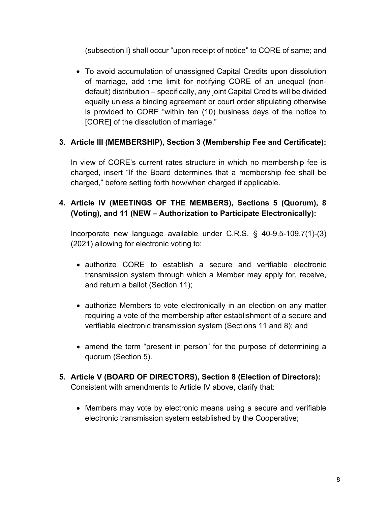(subsection l) shall occur "upon receipt of notice" to CORE of same; and

• To avoid accumulation of unassigned Capital Credits upon dissolution of marriage, add time limit for notifying CORE of an unequal (nondefault) distribution – specifically, any joint Capital Credits will be divided equally unless a binding agreement or court order stipulating otherwise is provided to CORE "within ten (10) business days of the notice to [CORE] of the dissolution of marriage."

# **3. Article III (MEMBERSHIP), Section 3 (Membership Fee and Certificate):**

In view of CORE's current rates structure in which no membership fee is charged, insert "If the Board determines that a membership fee shall be charged," before setting forth how/when charged if applicable.

# **4. Article IV (MEETINGS OF THE MEMBERS), Sections 5 (Quorum), 8 (Voting), and 11 (NEW – Authorization to Participate Electronically):**

Incorporate new language available under C.R.S. § 40-9.5-109.7(1)-(3) (2021) allowing for electronic voting to:

- authorize CORE to establish a secure and verifiable electronic transmission system through which a Member may apply for, receive, and return a ballot (Section 11);
- authorize Members to vote electronically in an election on any matter requiring a vote of the membership after establishment of a secure and verifiable electronic transmission system (Sections 11 and 8); and
- amend the term "present in person" for the purpose of determining a quorum (Section 5).
- **5. Article V (BOARD OF DIRECTORS), Section 8 (Election of Directors):**  Consistent with amendments to Article IV above, clarify that:
	- Members may vote by electronic means using a secure and verifiable electronic transmission system established by the Cooperative;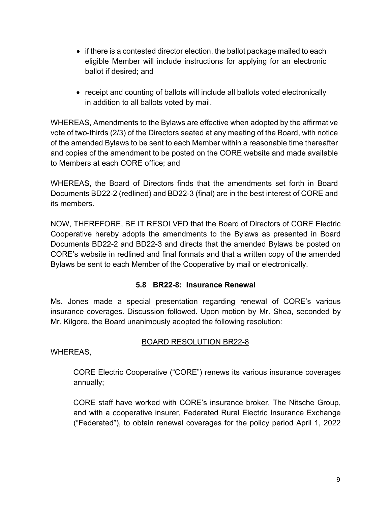- if there is a contested director election, the ballot package mailed to each eligible Member will include instructions for applying for an electronic ballot if desired; and
- receipt and counting of ballots will include all ballots voted electronically in addition to all ballots voted by mail.

WHEREAS, Amendments to the Bylaws are effective when adopted by the affirmative vote of two-thirds (2/3) of the Directors seated at any meeting of the Board, with notice of the amended Bylaws to be sent to each Member within a reasonable time thereafter and copies of the amendment to be posted on the CORE website and made available to Members at each CORE office; and

WHEREAS, the Board of Directors finds that the amendments set forth in Board Documents BD22-2 (redlined) and BD22-3 (final) are in the best interest of CORE and its members.

NOW, THEREFORE, BE IT RESOLVED that the Board of Directors of CORE Electric Cooperative hereby adopts the amendments to the Bylaws as presented in Board Documents BD22-2 and BD22-3 and directs that the amended Bylaws be posted on CORE's website in redlined and final formats and that a written copy of the amended Bylaws be sent to each Member of the Cooperative by mail or electronically.

## **5.8 BR22-8: Insurance Renewal**

Ms. Jones made a special presentation regarding renewal of CORE's various insurance coverages. Discussion followed. Upon motion by Mr. Shea, seconded by Mr. Kilgore, the Board unanimously adopted the following resolution:

# BOARD RESOLUTION BR22-8

WHEREAS,

CORE Electric Cooperative ("CORE") renews its various insurance coverages annually;

CORE staff have worked with CORE's insurance broker, The Nitsche Group, and with a cooperative insurer, Federated Rural Electric Insurance Exchange ("Federated"), to obtain renewal coverages for the policy period April 1, 2022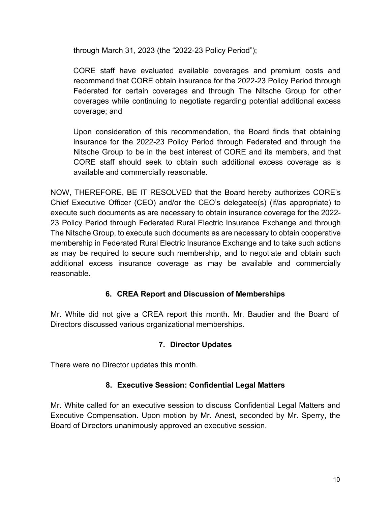through March 31, 2023 (the "2022-23 Policy Period");

CORE staff have evaluated available coverages and premium costs and recommend that CORE obtain insurance for the 2022-23 Policy Period through Federated for certain coverages and through The Nitsche Group for other coverages while continuing to negotiate regarding potential additional excess coverage; and

Upon consideration of this recommendation, the Board finds that obtaining insurance for the 2022-23 Policy Period through Federated and through the Nitsche Group to be in the best interest of CORE and its members, and that CORE staff should seek to obtain such additional excess coverage as is available and commercially reasonable.

NOW, THEREFORE, BE IT RESOLVED that the Board hereby authorizes CORE's Chief Executive Officer (CEO) and/or the CEO's delegatee(s) (if/as appropriate) to execute such documents as are necessary to obtain insurance coverage for the 2022- 23 Policy Period through Federated Rural Electric Insurance Exchange and through The Nitsche Group, to execute such documents as are necessary to obtain cooperative membership in Federated Rural Electric Insurance Exchange and to take such actions as may be required to secure such membership, and to negotiate and obtain such additional excess insurance coverage as may be available and commercially reasonable.

## **6. CREA Report and Discussion of Memberships**

Mr. White did not give a CREA report this month. Mr. Baudier and the Board of Directors discussed various organizational memberships.

## **7. Director Updates**

There were no Director updates this month.

## **8. Executive Session: Confidential Legal Matters**

Mr. White called for an executive session to discuss Confidential Legal Matters and Executive Compensation. Upon motion by Mr. Anest, seconded by Mr. Sperry, the Board of Directors unanimously approved an executive session.